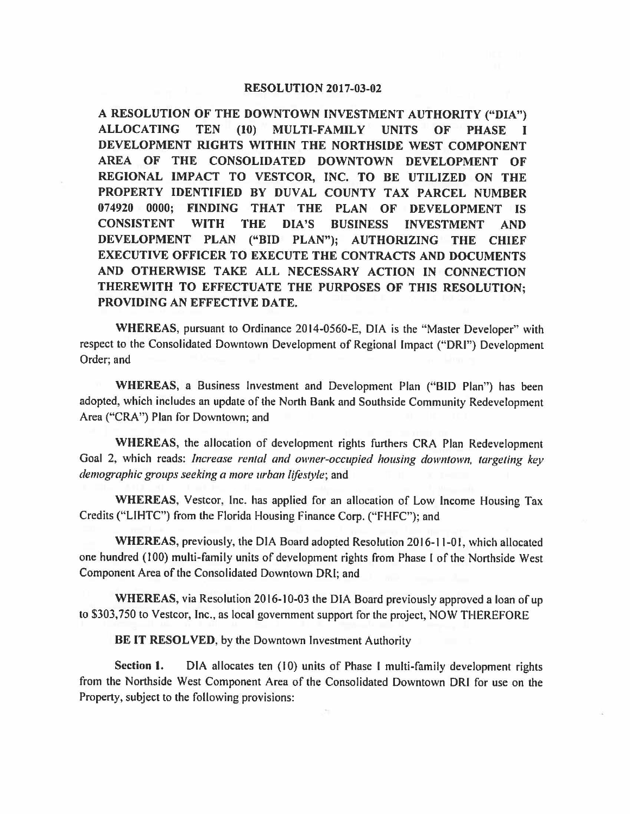## **RESOLUTION 2017-03-02**

I **A RESOLUTION OF THE DOWNTOWN INVESTMENT AUTHORITY ("DIA") ALLOCATING TEN (10) MULTI-FAMILY UNITS OF PHASE DEVELOPMENT RIGHTS WITHIN THE NORTHSIDE WEST COMPONENT AREA OF THE CONSOLIDATED DOWNTOWN DEVELOPMENT OF REGIONAL IMPACT TO VESTCOR, INC. TO BE UTILIZED ON THE PROPERTY IDENTIFIED BY DUVAL COUNTY TAX PARCEL NUMBER 074920 0000; FINDING THAT THE PLAN OF DEVELOPMENT IS CONSISTENT WITH THE DIA'S BUSINESS INVESTMENT AND DEVELOPMENT PLAN ("BID PLAN"); AUTHORIZING THE CHIEF EXECUTIVE OFFICER TO EXECUTE THE CONTRACTS AND DOCUMENTS AND OTHERWISE TAKE ALL NECESSARY ACTION IN CONNECTION THEREWITH TO EFFECTUATE THE PURPOSES OF THIS RESOLUTION; PROVIDING AN EFFECTIVE DATE.** 

**WHEREAS,** pursuant to Ordinance 2014-0560-E, DIA is the "Master Developer" with respect to the Consolidated Downtown Development of Regional Impact ("ORI") Development Order; and

**WHEREAS,** a Business Investment and Development Plan ("BID Plan") has been adopted, which includes an update of the North Bank and Southside Community Redevelopment Area ("CRA") Plan for Downtown; and

**WHEREAS,** the allocation of development rights furthers CRA Plan Redevelopment Goal 2, which reads: *Increase rental and owner-occupied housing downtown, targeting key demographic groups seeking a more urban lifestyle;* and

**WHEREAS,** Vestcor, Inc. has applied for an allocation of Low Income Housing Tax Credits ("LIHTC") from the Florida Housing Finance Corp. ("FHFC"); and

**WHEREAS,** previously, the DIA Board adopted Resolution 2016-11-01, which allocated one hundred (100) multi-family units of development rights from Phase I of the Northside West Component Area of the Consolidated Downtown DRI; and

**WHEREAS,** via Resolution 2016-10-03 the DIA Board previously approved a loan of up to \$303,750 to Vestcor, Inc., as local government support for the project, NOW THEREFORE

**BE IT RESOLVED,** by the Downtown Investment Authority

**Section 1.** DIA allocates ten (10) units of Phase I multi-family development rights from the Northside West Component Area of the Consolidated Downtown DRI for use on the Property, subject to the following provisions: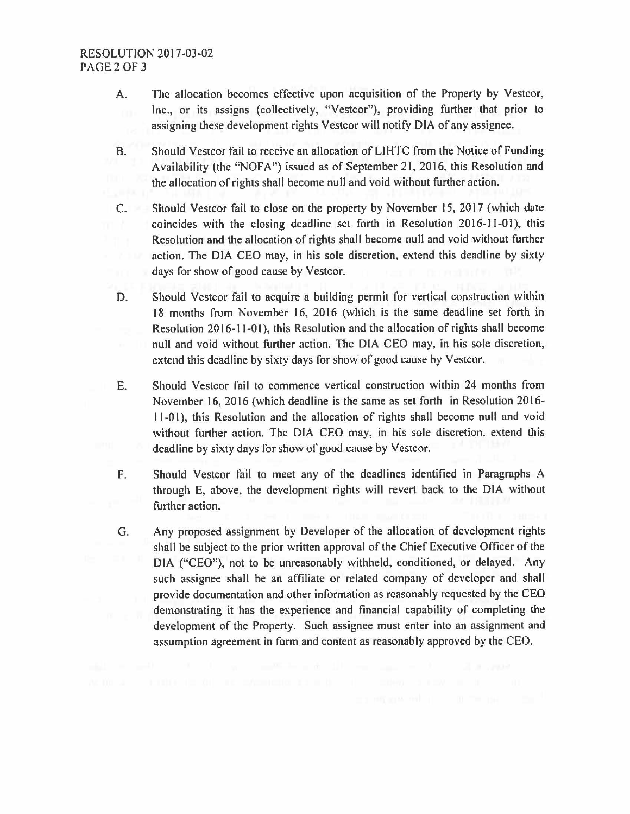- A. The allocation becomes effective upon acquisition of the Property by Vestcor, Inc., or its assigns (collectively, "Vestcor"), providing further that prior to assigning these development rights Vestcor will notify DIA of any assignee.
- 8. Should Vestcor fail to receive an allocation of LIHTC from the Notice of Funding Availability (the "NOFA") issued as of September 21, 2016, this Resolution and the allocation of rights shall become null and void without further action.
- C. Should Vestcor fail to close on the property by November 15, 2017 (which date coincides with the closing deadline set forth in Resolution 2016-11-01), this Resolution and the allocation of rights shall become null and void without further action. The DIA CEO may, in his sole discretion, extend this deadline by sixty days for show of good cause by Vestcor.
- D. Should Vestcor fail to acquire a building permit for vertical construction within 18 months from November 16, 2016 (which is the same deadline set forth in Resolution 2016-11-01), this Resolution and the allocation of rights shall become null and void without further action. The DIA CEO may, in his sole discretion, extend this deadline by sixty days for show of good cause by Vestcor.
- E. Should Vestcor fail to commence vertical construction within 24 months from November 16, 2016 (which deadline is the same as set forth in Resolution 2016- 11-01), this Resolution and the allocation of rights shall become null and void without further action. The DIA CEO may, in his sole discretion, extend this deadline by sixty days for show of good cause by Vestcor.
- F. Should Vestcor fail to meet any of the deadlines identified in Paragraphs A through E, above, the development rights will revert back to the DIA without further action.
- G. Any proposed assignment by Developer of the allocation of development rights shall be subject to the prior written approval of the Chief Executive Officer of the DIA ("CEO"), not to be unreasonably withheld, conditioned, or delayed. Any such assignee shall be an affiliate or related company of developer and shall provide documentation and other information as reasonably requested by the CEO demonstrating it has the experience and financial capability of completing the development of the Property. Such assignee must enter into an assignment and assumption agreement in form and content as reasonably approved by the CEO.